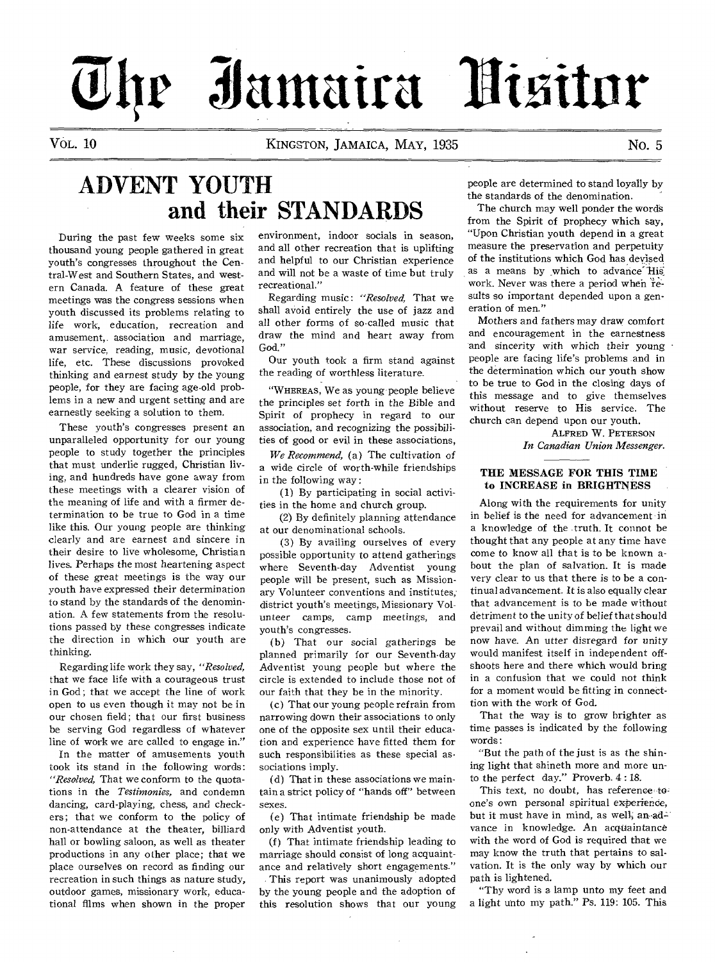# **3Jantaira**

VOL. 10 KINGSTON, JAMAICA, MAY, 1935 NO. 5

# **ADVENT YOUTH and their STANDARDS**

During the past few weeks some six thousand young people gathered in great youth's congresses throughout the Central-West and Southern States, and western Canada. A feature of these great meetings was the congress sessions when youth discussed its problems relating to life work, education, recreation and amusement,. association and marriage, war service, reading, *music,* devotional life, etc. These discussions provoked thinking and earnest study by the *young*  people, for they are facing age-old problems in a new and urgent setting and are earnestly seeking a solution to them.

These youth's congresses present an unparalleled opportunity for our young people to study together the principles that must underlie rugged, Christian living, and hundreds have gone away from these meetings with a clearer vision of the meaning of life and with a firmer determination to be true to God in a time like this. Our young people are thinking clearly and are earnest and sincere in their desire to live wholesome, Christian lives. Perhaps the most heartening aspect of these great meetings is the way our youth have expressed their determination to stand by the standards of the denomination. A few statements from the resolutions passed by these congresses indicate the direction in which our youth are thinking.

Regarding life work they say, *"Resolved,*  that we face life with a courageous trust in God; that we accept the line of work open to us even though it may not be in our chosen field; that our first business be serving God regardless of whatever line of work we are called to engage in."

In the matter of amusements youth took its stand in the following words: *"Resolved,* That we conform to the quotations in the *Testimonies,* and condemn dancing, card-playing, chess, and checkers; that we conform to the policy of non-attendance at the theater, billiard hall or bowling saloon, as well as theater productions in any other place; that we place ourselves on record as finding our recreation in such things as nature study, outdoor games, missionary work, educational films when shown in the proper

environment, indoor socials in season, and all other recreation that is uplifting and helpful to our Christian experience and will not be a waste of time but truly recreational."

Regarding music: *"Resolved,* That we shall avoid entirely the use of jazz and all other forms of so-called music that draw the mind and heart away from God."

Our youth took a firm stand against the reading of worthless literature.

"WHEREAS, We as young people believe the principles set forth in the Bible and Spirit of prophecy in regard to our association, and recognizing the possibilities of good or evil in these associations,

*We Recommend, (a)* The cultivation *of*  a wide circle of worth-while friendships in the following way :

(1) By participating in social activities in the home and church group.

(2) By definitely planning attendance at our denominational schools.

(3) By availing ourselves of every possible opportunity to attend gatherings where Seventh-day Adventist young people will be present, such as Missionary Volunteer conventions and institutes, district youth's meetings, Missionary Volunteer camps, camp meetings, and youth's congresses.

(b) That our social gatherings be planned primarily for our Seventh-day Adventist young people but where the circle is extended to include those not of our faith that they be in the minority.

(c) That our young people refrain from narrowing down their associations to only one of the opposite sex until their education and experience have fitted them for such responsibilities as these special associations imply.

(d) That in these associations we maintain a strict policy of "hands off" between sexes.

(e) That intimate friendship be made only with Adventist youth.

(f) That intimate friendship leading to marriage should consist of long acquaintance and relatively short engagements."

This report was unanimously adopted by the young people and the adoption of this resolution shows that our young people are determined to stand loyally by the standards of the denomination.

The church may well ponder the words from the Spirit of prophecy which say, "Upon Christian youth depend in a great measure the preservation and perpetuity of the institutions which God has devised as a means by which to advance His work. Never was there a period when results so important depended upon a generation of men."

Mothers and fathers may draw comfort and encouragement in the earnestness and sincerity with which their *young*  people are facing life's problems and in the determination which our youth show to be true to God in the closing days of this message and to give themselves without reserve to His service. The church can depend upon our youth.

> ALFRED W. PETERSON *In Canadian Union Messenger.*

#### **THE MESSAGE FOR THIS TIME to INCREASE** in **BRIGHTNESS**

Along with the requirements for unity in belief is the need for advancement in a knowledge of the truth. It connot be thought that any people at any time have come to know all that is to be known about the plan of salvation. It is made very clear to us that there is to be a continual advancement. It is also equally clear that advancement is to be made without detriment to the unity of belief that should prevail and without dimming the light we now have. An utter disregard for unity would manifest itself in independent offshoots here and there which would bring in a confusion that we could not think for a moment would be fitting in connecttion with the work of God.

That the way is to grow brighter as time passes is indicated by the following words:

"But the path of the just is as the shining light that shineth more and more unto the perfect day." Proverb. 4: 18.

This text, no doubt, has reference toone's own personal spiritual experience, but it must have in mind, as well, an-advance in knowledge. An acquaintance with the word of God is required that we may know the truth that pertains to salvation. It is the only way by which our path is lightened.

"Thy word is a lamp unto my feet and a light unto my path." Ps. 119: 105. This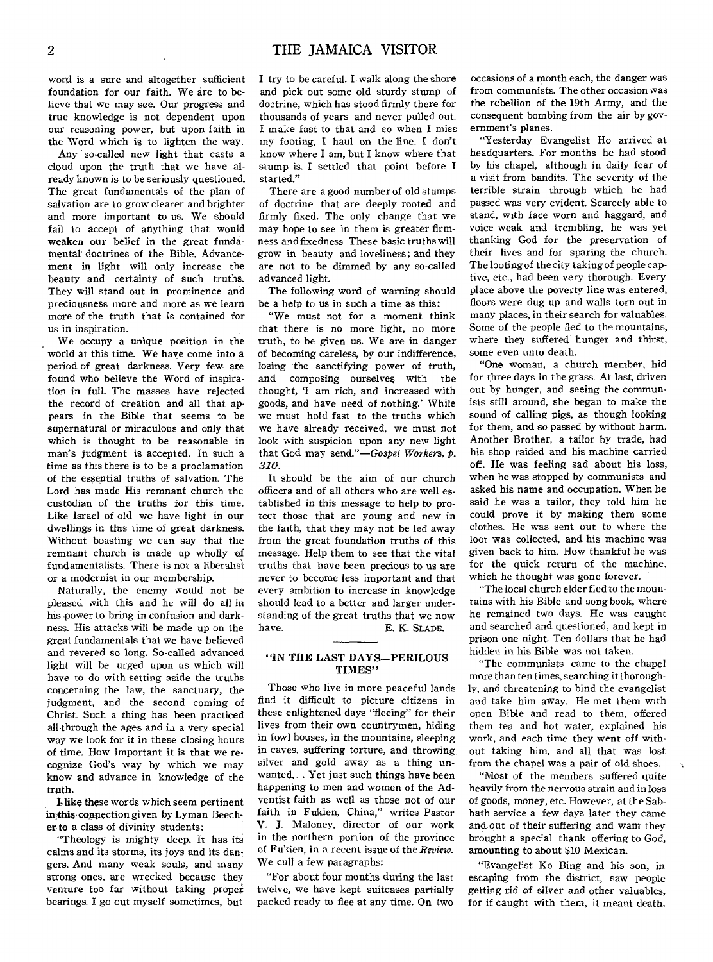word is a sure and altogether sufficient foundation for our faith. We are to believe that we may see. Our progress and true knowledge is not dependent upon our reasoning power, but upon faith in the Word which is to lighten the way.

Any so-called new light that casts a cloud upon the truth that we have already known is to be seriously questioned. The great fundamentals of the plan of salvation are to grow clearer and brighter and more important to us. We should fail to accept of anything that would weaken our belief in the great fundamental doctrines of the Bible. Advancement in light will only increase the beauty and certainty of such truths. They will stand out in prominence and preciousness more and more as we learn more of the truth that is contained for us in inspiration.

We occupy a unique position in the world at this time. We have come into a period of great darkness. Very few are found who believe the Word of inspiration in full. The masses have rejected the record of creation and all that appears in the Bible that seems to be supernatural or miraculous and only that which is thought to be reasonable in man's judgment is accepted. In such a time as this there is to be a proclamation of the essential truths of salvation. The Lord has made His remnant church the custodian of the truths for this time. Like Israel of old we have light in our dwellings in this time of great darkness. Without boasting we can say that the remnant church is made up, wholly of fundamentalists. There is not a liberalist or a modernist in our membership.

Naturally, the enemy would not be pleased with this and he will do all in his power to bring in confusion and darkness. His attacks will be made up on the great fundamentals that we have believed and revered so long. So-called advanced light will be urged upon us which will have to do with setting aside the truths concerning the law, the sanctuary, the judgment, and the second coming of Christ. Such a thing has been practiced all through the ages and in a very special way we look for it in these closing hours of time. How important it is that we recognize God's way by which we may know and advance in knowledge of the **truth.** 

**I-like these words which seem pertinent** in this connection given by Lyman Beecher **to a** class of divinity students:

"Theology is mighty deep. It has its calms and its storms, its joys and its dangers. And many weak souls, and many strong ones, are wrecked because they venture too far without taking proper bearings. I go out myself sometimes, but

I try to be careful. I walk along the shore and pick out some old sturdy stump of doctrine, which has stood firmly there for thousands of years and never pulled out. I make fast to that and so when I miss my footing, I haul on the line. I don't know where I am, but I know where that stump is. I settled that point before I started."

There are a good number of old stumps of doctrine that are deeply rooted and firmly fixed. The only change that we may hope to see in them is greater firmness and fixedness. These basic truths will grow in beauty and loveliness; and they are not to be dimmed by any so-called advanced light.

The following word of warning should be a help to us in such a time as this:

"We must not for a moment think that there is no more light, no more truth, to be given us. We are in danger of becoming careless, by our indifference, losing the sanctifying power of truth, and composing ourselves with the thought, 'I am rich, and increased with goods, and have need of nothing.' While we must hold fast to the truths which we have already received, we must not look with suspicion upon any new light that God may *send."—Gospel Workers,* p. *310.* 

It should be the aim of our church officers and of all others who are well established in this message to help to protect those that are young and new in the faith, that they may not be led away from the great foundation truths of this message. Help them to see that the vital truths that have been precious to us are never to become less important and that every ambition to increase in knowledge should lead to a better and larger understanding of the great truths that we now<br>have. E. K. SLADE. E. K. SLADE.

#### **"IN THE LAST DAYS—PERILOUS TIMES"**

Those who live in more peaceful lands find it difficult to picture citizens in these enlightened days "fleeing" for their lives from their own countrymen, hiding in fowl houses, in the mountains, sleeping in caves, suffering torture, and throwing, silver and gold away as a thing unwanted.. . Yet just such things have been happening to men and women of the Adventist faith as well as those not of our faith in Fukien, China," writes Pastor V. J. Maloney, director of our work in the northern portion of the province of Fukien, in a recent issue of the *Review. We* cull a few paragraphs:

"For about four months during the last twelve, we have kept suitcases partially packed ready to flee at any time. On two occasions of a month each, the danger was from communists. The other occasion was the rebellion of the 19th Army, and the consequent bombing from the air by government's planes.

"Yesterday Evangelist Ho arrived at headquarters. For months he had stood by his chapel, although in daily fear of a visit from bandits. The severity of the terrible strain through which he had passed was very evident. Scarcely able to stand, with face worn and haggard, and voice weak and trembling, he was yet thanking God for the preservation of their lives and for sparing the church. The looting of the city taking of people captive, etc., had been very thorough. Every place above the poverty line was entered, floors were dug up and walls torn out in many places, in their search for valuables. Some of the people fled to the mountains, where they suffered hunger and thirst, some even unto death.

"One woman, a church member, hid for three days in the grass. At last, driven out by hunger, and seeing the communists still around, she began to make the sound of calling pigs, as though looking for them, and so passed by without harm. Another Brother, a tailor by trade, had his shop raided and his machine carried off. He was feeling sad about his loss, when he was stopped by communists and asked his name and occupation. When he said he was a tailor, they told him he could prove it by making them some clothes. He was sent out to where the loot was collected, and his machine was given back to him. How thankful he was for the quick return of the machine, which he thought was gone forever.

"The local church elder fled to the mountains with his Bible and song book, where he remained two days. He was caught and searched and questioned, and kept in prison one night. Ten dollars that he had hidden in his Bible was not taken.

"The communists came to the chapel more than ten times, searching it thoroughly, and threatening to bind the evangelist and take him away. He met them with open Bible and read to them, offered them tea and hot water, explained his work, and each time they went off without taking him, and all that was lost from the chapel was a pair of old shoes.

"Most of the members suffered quite heavily from the nervous strain and in loss of goods, money, etc. However, at the Sabbath service a few days later they came and out of their suffering and want they brought a special thank offering to God, amounting to about \$10 Mexican.

"Evangelist Ko Bing and his son, in escaping from the district, saw people getting rid of silver and other valuables, for if caught with them, it meant death.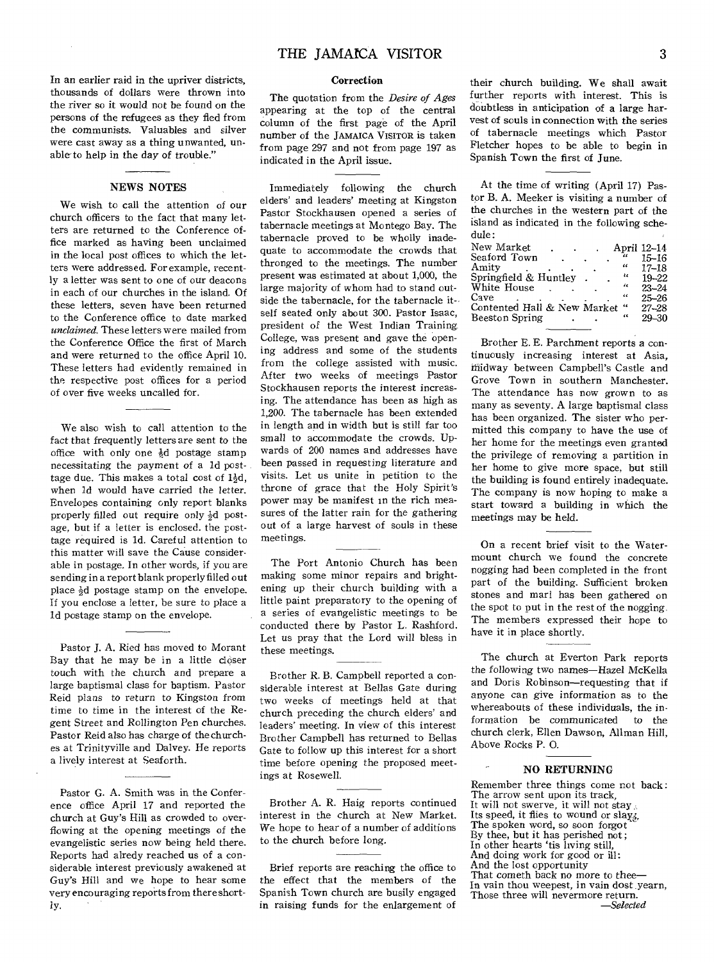In an earlier raid in the upriver districts, thousands of dollars were thrown into the river so it would not be found on the persons of the refugees as they fled from the communists. Valuables and silver were cast away as a thing unwanted, unable to help in the day of trouble."

#### NEWS NOTES

We wish to call the attention of our church officers to the fact that many letters are returned to the Conference office marked as having been unclaimed in the local post offices to which the letters were addressed. For example, recently a letter was sent to one of our deacons in each of our churches in the island. Of these letters, seven have been returned to the Conference office to date marked *unclaimed.* These letters were mailed from the Conference Office the first of March and were returned to the office April 10. These letters had evidently remained in the respective post offices for a period of over five weeks uncalled for.

We also wish to call attention to the fact that frequently letters are sent to the office with only one  $\frac{1}{2}d$  postage stamp necessitating the payment *of* a ld posttage due. This makes a total cost of  $1\frac{1}{2}d$ . when id would have carried the letter. Envelopes containing only report blanks properly filled out require only  $\frac{1}{2}d$  postage, but if a letter is enclosed. the posttage required is ld. Careful attention to this matter will save the Cause considerable in postage, In other words, if you are sending in a report blank properly filled out place  $\frac{1}{2}d$  postage stamp on the envelope. If you enclose a letter, be sure to place a ld postage stamp on the envelope.

Pastor J. A. Ried has moved to Morant Bay that he may be in a little closer touch with the church and prepare a large baptismal class for baptism. Pastor Reid plans to return to *Kingston* from time to time in the interest of the Regent Street and Rollington Pen churches. Pastor Reid also has charge of the churches at Trinityville and Dalvey. He reports a lively interest at Seaforth.

Pastor G. A. Smith was in the Conference office April 17 and reported the church at Guy's Hill as crowded to overflowing at the opening meetings of the evangelistic series now being held there. Reports had alredy reached us of a considerable interest previously awakened at Guy's Hill and we hope to hear some very encouraging reports from there shortly.

#### Correction

The quotation from the *Desire of Ages*  appearing at the top of the central column of the first page of the April number of the JAMAICA VISITOR is taken from page 297 and not from page 197 as indicated in the April issue.

Immediately following the church elders' and leaders' meeting at Kingston Pastor Stockhausen opened a series of tabernacle meetings at Montego Bay. The tabernacle proved to be wholly inadequate to accommodate the crowds that thronged to the meetings. The number present was estimated at about 1,000, the large majority of whom had to stand outside the tabernacle, for the tabernacle itself seated only about 300. Pastor Isaac, president of the West Indian Training College, was present and gave the opening address and some of the students from the college assisted with music. After two weeks of meetings Pastor Stockhausen reports the interest increasing. The attendance has been as high as 1,200. The tabernacle has been extended in length and in width but is still far too small to accommodate the crowds. Upwards of 200 names and addresses have been passed in requesting literature and visits. Let us unite in petition to the throne of grace that the Holy Spirit's power may be manifest in the rich measures of the latter rain for the gathering out of a large harvest of souls in these meetings.

The Port Antonio Church has been making some minor repairs and brightening up their church building with a little paint preparatory to the opening of a series of evangelistic meetings to be conducted there by Pastor L. Rashford. Let us pray that the Lord will bless in these meetings.

Brother R. B. Campbell reported a considerable interest at Bellas Gate during two weeks of meetings held at that church preceding the church elders' and leaders' meeting. In view of this interest Brother Campbell has returned to Bellas Gate to follow up this interest for a short time before opening the proposed meetings at Rosewell.

Brother A. R. Haig reports continued interest in the church at New Market. We hope to hear of a number of additions to the church before long.

Brief reports are reaching the office to the effect that the members of the Spanish Town church are busily engaged in raising funds for the enlargement of

their church building. We shall await further reports with interest. This is doubtless in anticipation of a large harvest of souls in connection with the series of tabernacle meetings which Pastor Fletcher hopes to be able to begin in Spanish Town the first of June.

At the time of writing (April 17) Pastor B. A. Meeker is visiting a number of the churches in the western part of the island as indicated in the following schedule:

| New Market<br>April 12-14<br>Seaford Town<br>"<br>Amitv<br>$\epsilon$<br>Ł¢<br>Springfield & Huntley<br>46<br>White House<br>44<br>Cave<br>Contented Hall & New Market<br>" | $15 - 16$<br>$17 - 18$<br>$19 - 22$<br>$23 - 24$<br>$25 - 26$<br>$27 - 28$ |
|-----------------------------------------------------------------------------------------------------------------------------------------------------------------------------|----------------------------------------------------------------------------|
| $\epsilon$<br>Beeston Spring                                                                                                                                                | $29 - 30$                                                                  |

Brother E. E. Parchment reports a continuously increasing interest at Asia, Midway between Campbell's Castle and Grove Town in southern Manchester. The attendance has now grown to as many as seventy. A large baptismal class has been organized. The sister who permitted this company to have the use of her home for the meetings even granted the privilege of removing a partition in her home to give more space, but still the building is found entirely inadequate. The company is now hoping to make a start toward a building in which the meetings may be held.

On a recent brief visit to the Watermount church we found the concrete nogging had been completed in the front part of the building. Sufficient broken stones and marl has been gathered on the spot to put in the rest of the nogging, The members expressed their hope to have it in place shortly.

The church at Everton Park reports the following two names—Hazel McKella and Doris Robinson—requesting that if anyone can *give* information as to the whereabouts of these individuals, the information be communicated to the church clerk, Ellen Dawson, Allman Hill, Above Rocks P. 0.

#### NO RETURNING

Remember three things come not back: The arrow sent upon its track, It will not swerve, it will not stay Its speed, it flies to wound or slay; The spoken word, so soon forgot By thee, but it has perished not; In other hearts 'tis living still, And doing work for good or ill: And the lost opportunity That cometh back *no more* to thee— In vain thou weepest, in vain dost yearn, Those three will nevermore return. *—Selected*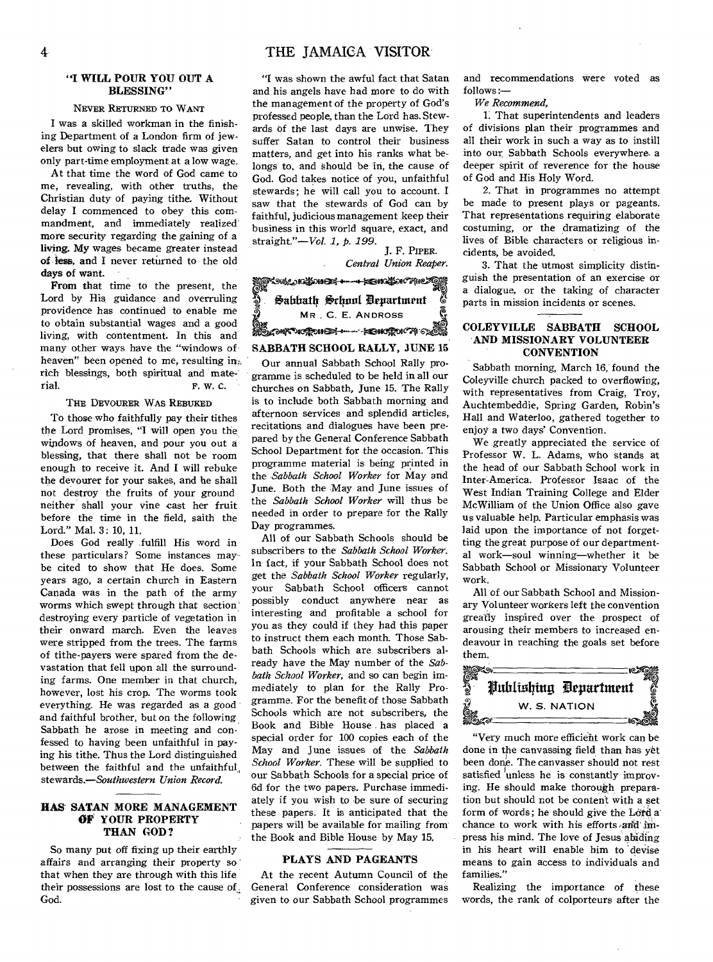#### **"I WILL POUR YOU OUT A BLESSING"**

### NEVER RETURNED TO WANT

I was a skilled workman in the finishing Department of a London firm of jewelers but owing to slack trade was given only part-time employment at a low wage.

At that time the word of God came to me, revealing, with other truths, the Christian duty of paying tithe. Without delay I commenced to obey this commandment, and immediately realized more security regarding the gaining of a living. My wages became greater instead of less, and I never returned to the old days of want.

From that time to the present, the Lord by His guidance and overruling providence has continued to enable me to obtain substantial wages and a good living, with contentment. In this and many other ways have the "windows of heaven" been opened to me, resulting int rich blessings, both spiritual and material. F. W. C.

#### THE DEVOURER WAS REBUKED

To those who faithfully pay their tithes the Lord promises, "I will open you the windows of heaven, and pour you out a blessing, that there shall not be room enough to receive it. And I will rebuke the devourer for your sakes, and he shall not destroy the fruits of your ground neither shall your vine cast her fruit before the time in the field, saith the Lord." Mal. 3: 10, 11.

Does God really fulfill His word in these particulars? Some instances may be cited to show that He does. Some years ago, a certain church in Eastern Canada was in the path of the army worms which swept through that section destroying every particle of vegetation in their onward march. Even the leaves were stripped from the trees. The farms of tithe-payers were spared from the devastation that fell upon all the surrounding farms. One member in that church, however, lost his crop. The worms took everything. He was regarded as a good and faithful brother, but on the following Sabbath he arose in meeting and confessed to having been unfaithful in paying his tithe. Thus the Lord distinguished between the faithful and the unfaithful. *stewards.—Southwestern Union Record.* 

#### **HAS SATAN MORE MANAGEMENT OF YOUR PROPERTY THAN GOD?**

So many put off fixing up their earthly affairs and arranging their property so that when they are through with this life their possessions are lost to the cause of. God.

"I was shown the awful fact that Satan and his angels have had more to do with the management of the property of God's professed people, than the Lord has. Stewards of the last days are unwise. They suffer Satan to control their business matters, and get into his ranks what belongs to, and should be in, the cause of God. God takes notice of you, unfaithful stewards; he will call you to account. I saw that the stewards of God can by faithful, judicious management keep their business in this world square, exact, and straight."—Vol. *1,* p. *199.* 

J. F. PIPER. *Central Union Reaper.* 

*4.960e.7ec.4assee,-4----•-•Moraaien*  6 Sabbath School Department **MR , C. E. ANDROSS etttle\*e\*--MbIllC%15AMEr** 

## **SABBATH SCHOOL RALLY, JUNE 15**

Our annual Sabbath School Rally programme is scheduled to be held in all our churches on Sabbath, June 15. The Rally is to include both Sabbath morning and afternoon services and splendid articles, recitations and dialogues have been prepared by the General Conference Sabbath School Department for the occasion. This programme material is being printed in the *Sabbath School Worker* for May and June. Both the May and June issues of the *Sabbath School Worker* will thus be needed in order to prepare for the Rally Day programmes.

All of our Sabbath Schools should be subscribers to the *Sabbath School Worker.*  In fact, if your Sabbath School does not get the *Sabbath School Worker* regularly, your Sabbath School officers cannot possibly conduct anywhere near as interesting and profitable a school for you as they could if they had this paper to instruct them each month. Those Sabbath Schools which are subscribers already have the May number of the *Sabbath School Worker,* and so can begin immediately to plan for the Rally Programme. For the benefit of those Sabbath Schools which are not subscribers, the Book and Bible House . has placed a special order for 100 copies each of the May and June issues of the *Sabbath School Worker.* These will be supplied to our Sabbath Schools for a special price of 6d for the two papers. Purchase immediately if you wish to be sure of securing these papers. It is anticipated that the papers will be available for mailing from the Book and Bible House by May 15,

#### **PLAYS AND PAGEANTS**

At the recent Autumn Council of the General Conference consideration was given to our Sabbath School programmes and recommendations were voted as follows :—

We *Recommend,* 

1. That superintendents and leaders of divisions plan their programmes and all their work in such a way as to instill into our Sabbath Schools everywhere. a deeper spirit of reverence for the house of God and His Holy Word.

2. That in programmes no attempt be made to present plays or pageants. That representations requiring elaborate costuming, or the dramatizing of the lives of Bible characters or religious incidents, be avoided.

3. That the utmost simplicity distinguish the presentation of an exercise or a dialogue, or the taking of character parts in mission incidents or scenes.

#### **COLEYVILLE SABBATH SCHOOL AND MISSIONARY VOLUNTEER CONVENTION**

Sabbath morning, March 16, found the Coleyville church packed to overflowing, with representatives from Craig, Troy, Auchtembeddie, Spring Garden, Robin's Hall and Waterloo, gathered together to enjoy a two days' Convention.

We greatly appreciated the service of Professor W. L. Adams, who stands at the head of our Sabbath School work in Inter-America. Professor Isaac of the West Indian Training College and Elder McWilliam of the Union Office also gave us valuable help. Particular emphasis was laid upon the importance of not forgetting the great purpose of our departmental work—soul winning—whether it be Sabbath School or Missionary Volunteer work.

All of our Sabbath School and Missionary Volunteer workers left the convention greatly inspired over the prospect of arousing their members to increased endeavour in reaching the goals set before them.



"Very much more efficient work can be done in the canvassing field than has yet been done. The canvasser should not rest satisfied unless he is constantly improving. He should make thorough preparation but should not be content with a set form of words; he should give the Lord a chance to work with his efforts and impress his mind. The love of Jesus abiding in his heart will enable him to devise means to gain access to individuals and families."

Realizing the importance of these words, the rank of colporteurs after the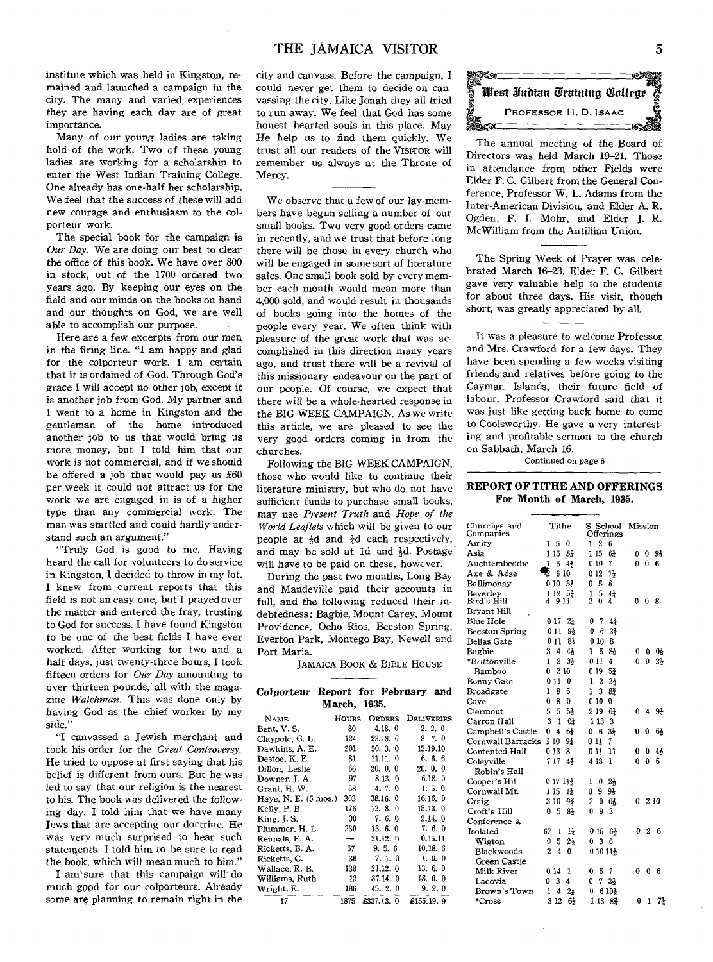institute which was held in Kingston, remained and launched a campaign in the city. The many and varied experiences they are having each day are of great importance.

Many of our *young* ladies are taking hold of the work. Two of these young ladies are working for a scholarship to enter the West Indian Training College. One already has one-half her scholarship. We feel that the success of these will add new courage and enthusiasm to the colporteur work.

The special book for the campaign is *Our Day.* We are doing our best to clear the office of this book. We have over 800 in stock, out of the 1700 ordered two years ago. By keeping our eyes on the field and our minds on the books on hand and our thoughts on God, we are well able to accomplish our purpose.

Here are a few excerpts from our men in the firing line. "I am happy and glad for the colporteur work. I am certain that it is ordained of God. Through God's grace I will accept no other job, except it is another job from God. My partner and I went to a home in Kingston and the gentleman of the home introduced another job to us that would bring us more money, but I told him that our work is not commercial, and if we should be offered a job that would pay us £60 per week it could not attract us for the work we are engaged in is of a higher type than any commercial work. The man was startled and could hardly understand such an argument."

"Truly God is good to me. Having heard the call for volunteers to do service in Kingston, I decided to throw in my lot. I knew from current reports that this field is not an easy one, but I prayed over the matter and entered the fray, trusting to God for success. I have found Kingston to be one of the best fields I have ever worked. After working for two and a half days, just twenty-three hours, I took fifteen orders for *Our Day* amounting to over thirteen pounds, all with the magazine *Watchman.* This was done only by having God as the chief worker by my side."

"I canvassed a Jewish merchant and took his order for the *Great Controversy.*  He tried to oppose at first saying that his belief is different from ours. But he was led to say that our religion is the nearest to his. The book *was* delivered the following day. I told him that we have many Jews that are accepting our doctrine. He was very much surprised to hear such statements. I told him to he sure to read the book, which will mean much to him."

I am sure that this campaign will do much good for our colporteurs. Already some are planning to remain right in the

city and canvass. Before the campaign, I could never get them to decide on canvassing the city. Like Jonah they all tried to run away. We feel that God has some honest hearted souls in this place. May He help *us* to find them quickly. We trust all our readers of the VISITOR will remember us always at the Throne of Mercy.

We observe that a few of our lay-members have begun selling a number of our small books. Two very good orders came in recently, and we trust that before long there will be those in every church who will be engaged in some sort of literature sales. One small book sold by every member each month would mean more than 4,000 sold, and would result in thousands of books going into the homes of the people every year. We often think with pleasure of the great work that was accomplished in this direction many years ago, and trust there will be a revival of this missionary endeavour on the part of our people. Of course, we expect that there will be a whole-hearted response in the BIG WEEK CAMPAIGN. As we write this article, we are pleased to see the very good orders coming in from the churches.

Following the BIG WEEK CAMPAIGN, those who would like to continue their literature ministry, but who do not have sufficient funds to purchase small books, may use *Present Truth* and *Hope of the World Leaflets* which will be given to our people at  $\frac{1}{2}d$  and  $\frac{1}{4}d$  each respectively, and may be sold at 1d and  $\frac{1}{2}d$ . Postage will have to be paid on these, however.

During the past two months, Long Bay and Mandeville paid their accounts in full, and the following reduced their indebtedness: Bagbie, Mount Carey, Mount Providence, Ocho Rios, Beeston Spring, Everton Park, Montego Bay, Newell and Port Maria.

JAMAICA BOOK & BIBLE HOUSE

| Colporteur Report for February and |              |  |  |
|------------------------------------|--------------|--|--|
|                                    | March, 1935. |  |  |

| <b>NAME</b>                    | HOURS | ORDERS    | DELIVERIES |
|--------------------------------|-------|-----------|------------|
| Bent, V. S.                    | 80    | 4.18.0    | 2, 2, 0    |
| Claypole, G. L.                | 124   | 23.18.6   | 8.7.0      |
| Dawkins, A. E.                 | 201   | 50.3.0    | 15.19.10   |
| Destoe, K. E.                  | 81    | 11.11.0   | 6, 6, 6    |
| Dillon. Leslie                 | 66    | 20.0.0    | 20.0.0     |
| Downer, J. A.                  | 97    | 8.13. 0   | 6.18.0     |
| Grant, H.W.                    | 58    | 4.7.0     | 1.5.0      |
| Have, N. E. $(5 \text{ mos.})$ | 303   | 38.16.0   | 16.16.0    |
| Kelly, P. B.                   | 176   | 12.8.0    | 15.13.0    |
| King, J. S.                    | 30    | 7.6.0     | 2.14.0     |
| Plummer, H. L.                 | 230   | 13.6.0    | 7.6.0      |
| Rennals, F. A.                 | -     | 21.12.0   | 0.15.11    |
| Ricketts, B. A.                | 57    | 9.5.6     | 10.18.6    |
| Ricketts, C.                   | 36    | 7.1.0     | 1.0.0      |
| Wallace, R. B.                 | 138   | 21.12.0   | 13. 6. 0   |
| Williams, Ruth                 | 12    | 37.14.0   | 18.0.0     |
| Wright, E.                     | 186   | 45, 2, 0  | 9.2.0      |
| 17                             | 1875  | £337.13.0 | £155.19.9  |



The annual meeting of the Board of Directors was held March 19-21. Those in attendance from other Fields were Elder F. C. Gilbert from the General Conference, Professor W. L. Adams from the Inter-American Division, and Elder A. R. Ogden, F. I. Mohr, and Elder J. R. McWilliam from the Antillian Union.

The Spring Week of Prayer was celebrated March 16-23. Elder F. C. Gilbert gave very valuable help to the students for about three days. His visit, though short, was greatly appreciated by all.

It was a pleasure to welcome Professor and Mrs. Crawford for a few days. They have been spending a few weeks visiting friends and relatives before going to the Cayman Islands, their future field of labour. Professor Crawford said that it was just like getting back home to come to Coolsworthy. He gave a very interesting and profitable sermon to the church on Sabbath, March 16.

Continued on page 6

#### **REPORT OF TITHE AND OFFERINGS For Month of March, 1935.**

| Churches and<br>Companies | Tithe                           | S. School<br>Offerings     | Mission                  |
|---------------------------|---------------------------------|----------------------------|--------------------------|
| Amity                     | 0<br>1<br>5                     | $\overline{2}$<br>1.<br>6  |                          |
| Asia                      | 1 15<br>87                      | 1 15<br>64                 | 91<br>0<br>0.            |
| Auchtembeddie             | 1<br>5<br>41                    | 010<br>7                   | 0<br>6<br>o              |
| Axe & Adze                | J)<br>6 10                      | 0 12<br>7 <sub>5</sub>     |                          |
| Ballimonay                | 0 10<br>53                      | $\boldsymbol{0}$<br>5<br>6 |                          |
| Beverley                  | 1 12<br>51                      | 5<br>44<br>1               |                          |
| Bird's Hill               | 4911                            | 2<br>0<br>4                | O<br>0.<br>8             |
| Bryant Hill               |                                 |                            |                          |
| Blue Hole                 | 0 17<br>$2\frac{1}{4}$          | 7<br>41<br>0               |                          |
| Beeston Spring            | 011<br>94                       | 2 <sup>1</sup><br>0<br>6   |                          |
| <b>Bellas Gate</b>        | 011<br>8}                       | 8<br>0 10                  |                          |
| Bagbie                    | 3<br>4<br>41                    | 1<br>5<br>81               | 0<br>01<br>0             |
| *Brittonville             | 1<br>2<br>31                    | 0 1 1<br>4                 | O<br>$2\frac{1}{2}$<br>0 |
| <b>Bamboo</b>             | Ω<br>2 10                       | 53<br>0 19                 |                          |
| Bonny Gate                | 0<br>11<br>0                    | 1<br>2<br>$2\frac{1}{2}$   |                          |
| Broadgate                 | 5<br>1<br>8                     | 3<br>1<br>82               |                          |
| Cave                      | 0<br>8<br>U                     | 010<br>0                   |                          |
| Clermont                  | 5<br>5<br>53                    | 2 19<br>6 <sup>1</sup>     | 9 <sub>1</sub><br>0<br>4 |
| Carron Hall               | 3<br>1<br>01                    | 1 13<br>3                  |                          |
| Campbell's Castle         | 61<br>0<br>4                    | 0<br>6<br>3 <sup>1</sup>   | 0<br>o<br>61             |
| Cornwall Barracks         | 110<br>94                       | 011<br>7                   |                          |
| Contented Hall            | 0 <sub>13</sub><br>8            | 11<br>011                  | 43<br>0<br>0             |
| Coleyville                | 717<br>43                       | 4 18<br>$\mathbf{I}$       | 0<br>$\bf{0}$<br>6       |
| Robin's Hall              |                                 |                            |                          |
| Cooper's Hill             | 0 17 11}                        | $2\frac{1}{2}$<br>1<br>0   |                          |
| Cornwall Mt.              | 115<br>11                       | 9<br>9}<br>0               |                          |
| Craig                     | 3 10<br>92                      | $\overline{2}$<br>0<br>03. | 0210                     |
| Croft's Hill              | 0<br>5<br>84                    | 3<br>$\bf{0}$<br>9         |                          |
| Conference &              |                                 |                            |                          |
| Isolated                  | 67<br>11<br>1                   | 0156                       | 2<br>0.<br>6             |
| Wigton                    | 5<br>$2\frac{1}{2}$<br>0        | 0 <sub>3</sub><br>6        |                          |
| Blackwoods                | $\overline{2}$<br>4<br>$\Omega$ | 01011                      |                          |
| Green Castle              |                                 |                            |                          |
| Milk River                | 0 14<br>1                       | 0<br>5<br>7                | 0<br>0<br>6              |
| Lacovia                   | 3<br>4<br>0                     | 34<br>0<br>7               |                          |
| Brown's Town              | 1<br>4<br>2 <sup>1</sup>        | 0<br>6 10}                 |                          |
| *Cross                    | 3<br>12<br>6 <sub>2</sub>       | 113<br>87                  | 0<br>1.<br>7}            |
|                           |                                 |                            |                          |